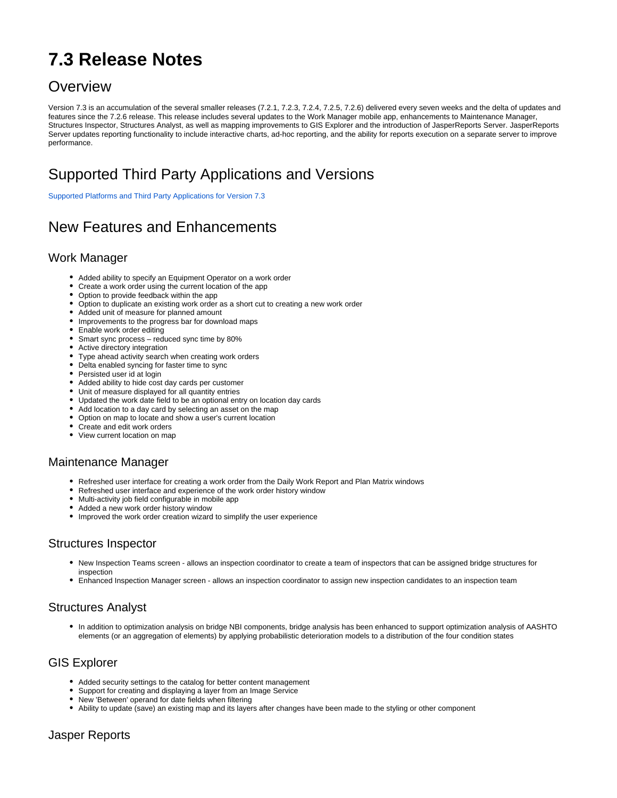# **7.3 Release Notes**

### **Overview**

Version 7.3 is an accumulation of the several smaller releases (7.2.1, 7.2.3, 7.2.4, 7.2.5, 7.2.6) delivered every seven weeks and the delta of updates and features since the 7.2.6 release. This release includes several updates to the Work Manager mobile app, enhancements to Maintenance Manager, Structures Inspector, Structures Analyst, as well as mapping improvements to GIS Explorer and the introduction of JasperReports Server. JasperReports Server updates reporting functionality to include interactive charts, ad-hoc reporting, and the ability for reports execution on a separate server to improve performance.

# Supported Third Party Applications and Versions

[Supported Platforms and Third Party Applications for Version 7.3](https://docs.agileassets.com/display/PD10/Supported+Platforms+and+Third+Party+Applications+for+Version+7.3)

## New Features and Enhancements

#### Work Manager

- Added ability to specify an Equipment Operator on a work order
- Create a work order using the current location of the app
- Option to provide feedback within the app
- Option to duplicate an existing work order as a short cut to creating a new work order
- Added unit of measure for planned amount
- Improvements to the progress bar for download maps
- Enable work order editing
- Smart sync process reduced sync time by 80%
- Active directory integration
- Type ahead activity search when creating work orders
- Delta enabled syncing for faster time to sync
- Persisted user id at login
- Added ability to hide cost day cards per customer
- Unit of measure displayed for all quantity entries
- Updated the work date field to be an optional entry on location day cards
- Add location to a day card by selecting an asset on the map
- Option on map to locate and show a user's current location
- Create and edit work orders
- View current location on map

#### Maintenance Manager

- Refreshed user interface for creating a work order from the Daily Work Report and Plan Matrix windows
- Refreshed user interface and experience of the work order history window
- Multi-activity job field configurable in mobile app
- Added a new work order history window
- Improved the work order creation wizard to simplify the user experience

#### Structures Inspector

- New Inspection Teams screen allows an inspection coordinator to create a team of inspectors that can be assigned bridge structures for inspection
- Enhanced Inspection Manager screen allows an inspection coordinator to assign new inspection candidates to an inspection team

#### Structures Analyst

In addition to optimization analysis on bridge NBI components, bridge analysis has been enhanced to support optimization analysis of AASHTO elements (or an aggregation of elements) by applying probabilistic deterioration models to a distribution of the four condition states

#### GIS Explorer

- Added security settings to the catalog for better content management
- Support for creating and displaying a layer from an Image Service
- New 'Between' operand for date fields when filtering
- Ability to update (save) an existing map and its layers after changes have been made to the styling or other component

#### Jasper Reports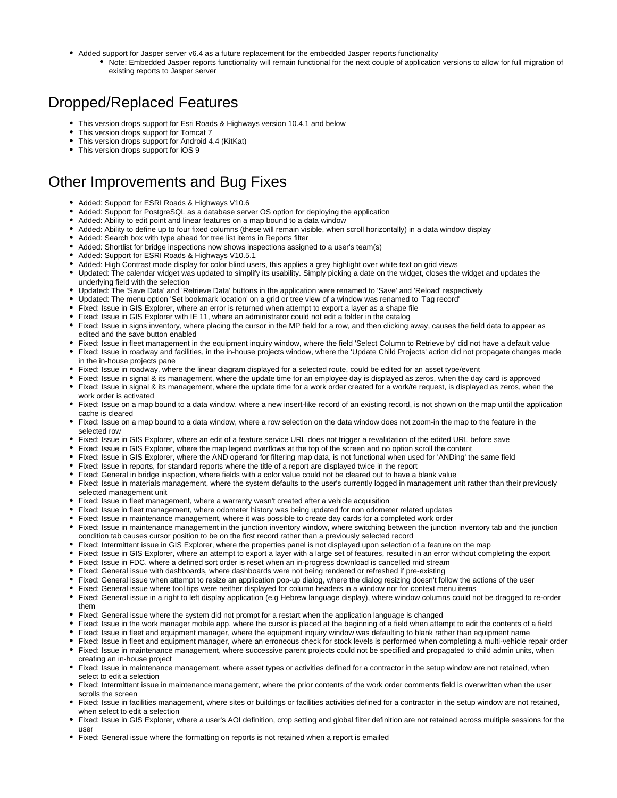- Added support for Jasper server v6.4 as a future replacement for the embedded Jasper reports functionality
	- Note: Embedded Jasper reports functionality will remain functional for the next couple of application versions to allow for full migration of existing reports to Jasper server

### Dropped/Replaced Features

- This version drops support for Esri Roads & Highways version 10.4.1 and below
- This version drops support for Tomcat 7
- This version drops support for Android 4.4 (KitKat)
- This version drops support for iOS 9

### Other Improvements and Bug Fixes

- Added: Support for ESRI Roads & Highways V10.6
- Added: Support for PostgreSQL as a database server OS option for deploying the application
- Added: Ability to edit point and linear features on a map bound to a data window
- Added: Ability to define up to four fixed columns (these will remain visible, when scroll horizontally) in a data window display
- Added: Search box with type ahead for tree list items in Reports filter
- Added: Shortlist for bridge inspections now shows inspections assigned to a user's team(s)
- Added: Support for ESRI Roads & Highways V10.5.1
- Added: High Contrast mode display for color blind users, this applies a grey highlight over white text on grid views
- Updated: The calendar widget was updated to simplify its usability. Simply picking a date on the widget, closes the widget and updates the underlying field with the selection
- Updated: The 'Save Data' and 'Retrieve Data' buttons in the application were renamed to 'Save' and 'Reload' respectively
- Updated: The menu option 'Set bookmark location' on a grid or tree view of a window was renamed to 'Tag record'
- Fixed: Issue in GIS Explorer, where an error is returned when attempt to export a layer as a shape file
- Fixed: Issue in GIS Explorer with IE 11, where an administrator could not edit a folder in the catalog
- Fixed: Issue in signs inventory, where placing the cursor in the MP field for a row, and then clicking away, causes the field data to appear as edited and the save button enabled
- Fixed: Issue in fleet management in the equipment inquiry window, where the field 'Select Column to Retrieve by' did not have a default value
- Fixed: Issue in roadway and facilities, in the in-house projects window, where the 'Update Child Projects' action did not propagate changes made in the in-house projects pane
- Fixed: Issue in roadway, where the linear diagram displayed for a selected route, could be edited for an asset type/event
- Fixed: Issue in signal & its management, where the update time for an employee day is displayed as zeros, when the day card is approved
- Fixed: Issue in signal & its management, where the update time for a work order created for a work/te request, is displayed as zeros, when the work order is activated
- Fixed: Issue on a map bound to a data window, where a new insert-like record of an existing record, is not shown on the map until the application cache is cleared
- Fixed: Issue on a map bound to a data window, where a row selection on the data window does not zoom-in the map to the feature in the selected row
- Fixed: Issue in GIS Explorer, where an edit of a feature service URL does not trigger a revalidation of the edited URL before save
- Fixed: Issue in GIS Explorer, where the map legend overflows at the top of the screen and no option scroll the content
- Fixed: Issue in GIS Explorer, where the AND operand for filtering map data, is not functional when used for 'ANDing' the same field
- Fixed: Issue in reports, for standard reports where the title of a report are displayed twice in the report
- Fixed: General in bridge inspection, where fields with a color value could not be cleared out to have a blank value
- Fixed: Issue in materials management, where the system defaults to the user's currently logged in management unit rather than their previously selected management unit
- Fixed: Issue in fleet management, where a warranty wasn't created after a vehicle acquisition
- Fixed: Issue in fleet management, where odometer history was being updated for non odometer related updates
- Fixed: Issue in maintenance management, where it was possible to create day cards for a completed work order
- Fixed: Issue in maintenance management in the junction inventory window, where switching between the junction inventory tab and the junction condition tab causes cursor position to be on the first record rather than a previously selected record
- Fixed: Intermittent issue in GIS Explorer, where the properties panel is not displayed upon selection of a feature on the map
- Fixed: Issue in GIS Explorer, where an attempt to export a layer with a large set of features, resulted in an error without completing the export
- Fixed: Issue in FDC, where a defined sort order is reset when an in-progress download is cancelled mid stream
- Fixed: General issue with dashboards, where dashboards were not being rendered or refreshed if pre-existing
- Fixed: General issue when attempt to resize an application pop-up dialog, where the dialog resizing doesn't follow the actions of the user
- Fixed: General issue where tool tips were neither displayed for column headers in a window nor for context menu items
- Fixed: General issue in a right to left display application (e.g Hebrew language display), where window columns could not be dragged to re-order them
- Fixed: General issue where the system did not prompt for a restart when the application language is changed
- Fixed: Issue in the work manager mobile app, where the cursor is placed at the beginning of a field when attempt to edit the contents of a field
- Fixed: Issue in fleet and equipment manager, where the equipment inquiry window was defaulting to blank rather than equipment name
- Fixed: Issue in fleet and equipment manager, where an erroneous check for stock levels is performed when completing a multi-vehicle repair order
- Fixed: Issue in maintenance management, where successive parent projects could not be specified and propagated to child admin units, when creating an in-house project
- Fixed: Issue in maintenance management, where asset types or activities defined for a contractor in the setup window are not retained, when select to edit a selection
- Fixed: Intermittent issue in maintenance management, where the prior contents of the work order comments field is overwritten when the user scrolls the screen
- Fixed: Issue in facilities management, where sites or buildings or facilities activities defined for a contractor in the setup window are not retained, when select to edit a selection
- Fixed: Issue in GIS Explorer, where a user's AOI definition, crop setting and global filter definition are not retained across multiple sessions for the user
- Fixed: General issue where the formatting on reports is not retained when a report is emailed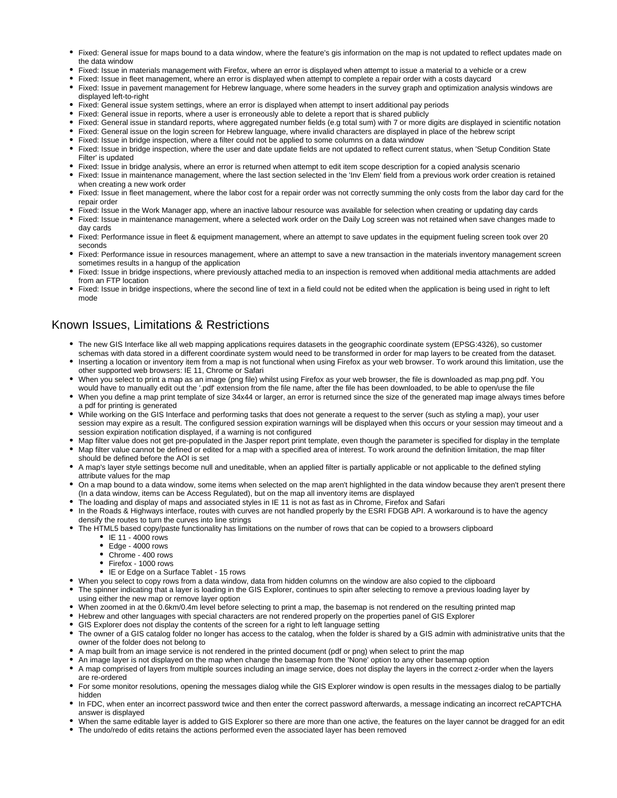- Fixed: General issue for maps bound to a data window, where the feature's gis information on the map is not updated to reflect updates made on the data window
- Fixed: Issue in materials management with Firefox, where an error is displayed when attempt to issue a material to a vehicle or a crew
- Fixed: Issue in fleet management, where an error is displayed when attempt to complete a repair order with a costs daycard
- $\bullet$ Fixed: Issue in pavement management for Hebrew language, where some headers in the survey graph and optimization analysis windows are displayed left-to-right
- Fixed: General issue system settings, where an error is displayed when attempt to insert additional pay periods
- Fixed: General issue in reports, where a user is erroneously able to delete a report that is shared publicly
- Fixed: General issue in standard reports, where aggregated number fields (e.g total sum) with 7 or more digits are displayed in scientific notation
- Fixed: General issue on the login screen for Hebrew language, where invalid characters are displayed in place of the hebrew script
- Fixed: Issue in bridge inspection, where a filter could not be applied to some columns on a data window
- Fixed: Issue in bridge inspection, where the user and date update fields are not updated to reflect current status, when 'Setup Condition State Filter' is updated
- Fixed: Issue in bridge analysis, where an error is returned when attempt to edit item scope description for a copied analysis scenario
- Fixed: Issue in maintenance management, where the last section selected in the 'Inv Elem' field from a previous work order creation is retained when creating a new work order
- Fixed: Issue in fleet management, where the labor cost for a repair order was not correctly summing the only costs from the labor day card for the repair order
- Fixed: Issue in the Work Manager app, where an inactive labour resource was available for selection when creating or updating day cards
- Fixed: Issue in maintenance management, where a selected work order on the Daily Log screen was not retained when save changes made to day cards
- Fixed: Performance issue in fleet & equipment management, where an attempt to save updates in the equipment fueling screen took over 20 seconds
- Fixed: Performance issue in resources management, where an attempt to save a new transaction in the materials inventory management screen sometimes results in a hangup of the application
- Fixed: Issue in bridge inspections, where previously attached media to an inspection is removed when additional media attachments are added from an FTP location
- Fixed: Issue in bridge inspections, where the second line of text in a field could not be edited when the application is being used in right to left mode

#### Known Issues, Limitations & Restrictions

- The new GIS Interface like all web mapping applications requires datasets in the geographic coordinate system (EPSG:4326), so customer schemas with data stored in a different coordinate system would need to be transformed in order for map layers to be created from the dataset.
- Inserting a location or inventory item from a map is not functional when using Firefox as your web browser. To work around this limitation, use the other supported web browsers: IE 11, Chrome or Safari
- When you select to print a map as an image (png file) whilst using Firefox as your web browser, the file is downloaded as map.png.pdf. You would have to manually edit out the '.pdf' extension from the file name, after the file has been downloaded, to be able to open/use the file
- When you define a map print template of size 34x44 or larger, an error is returned since the size of the generated map image always times before a pdf for printing is generated
- While working on the GIS Interface and performing tasks that does not generate a request to the server (such as styling a map), your user session may expire as a result. The configured session expiration warnings will be displayed when this occurs or your session may timeout and a session expiration notification displayed, if a warning is not configured
- Map filter value does not get pre-populated in the Jasper report print template, even though the parameter is specified for display in the template
- Map filter value cannot be defined or edited for a map with a specified area of interest. To work around the definition limitation, the map filter should be defined before the AOI is set
- A map's layer style settings become null and uneditable, when an applied filter is partially applicable or not applicable to the defined styling attribute values for the map
- On a map bound to a data window, some items when selected on the map aren't highlighted in the data window because they aren't present there (In a data window, items can be Access Regulated), but on the map all inventory items are displayed
- The loading and display of maps and associated styles in IE 11 is not as fast as in Chrome, Firefox and Safari
- In the Roads & Highways interface, routes with curves are not handled properly by the ESRI FDGB API. A workaround is to have the agency densify the routes to turn the curves into line strings
- The HTML5 based copy/paste functionality has limitations on the number of rows that can be copied to a browsers clipboard
	- IE 11 4000 rows
	- Edge 4000 rows
	- Chrome 400 rows
	- Firefox 1000 rows
	- IE or Edge on a Surface Tablet 15 rows
- When you select to copy rows from a data window, data from hidden columns on the window are also copied to the clipboard
- The spinner indicating that a layer is loading in the GIS Explorer, continues to spin after selecting to remove a previous loading layer by using either the new map or remove layer option
- When zoomed in at the 0.6km/0.4m level before selecting to print a map, the basemap is not rendered on the resulting printed map
- Hebrew and other languages with special characters are not rendered properly on the properties panel of GIS Explorer
- GIS Explorer does not display the contents of the screen for a right to left language setting
- The owner of a GIS catalog folder no longer has access to the catalog, when the folder is shared by a GIS admin with administrative units that the owner of the folder does not belong to
- A map built from an image service is not rendered in the printed document (pdf or png) when select to print the map
- An image layer is not displayed on the map when change the basemap from the 'None' option to any other basemap option
- A map comprised of layers from multiple sources including an image service, does not display the layers in the correct z-order when the layers are re-ordered
- For some monitor resolutions, opening the messages dialog while the GIS Explorer window is open results in the messages dialog to be partially hidden
- In FDC, when enter an incorrect password twice and then enter the correct password afterwards, a message indicating an incorrect reCAPTCHA answer is displayed
- When the same editable layer is added to GIS Explorer so there are more than one active, the features on the layer cannot be dragged for an edit
- The undo/redo of edits retains the actions performed even the associated layer has been removed